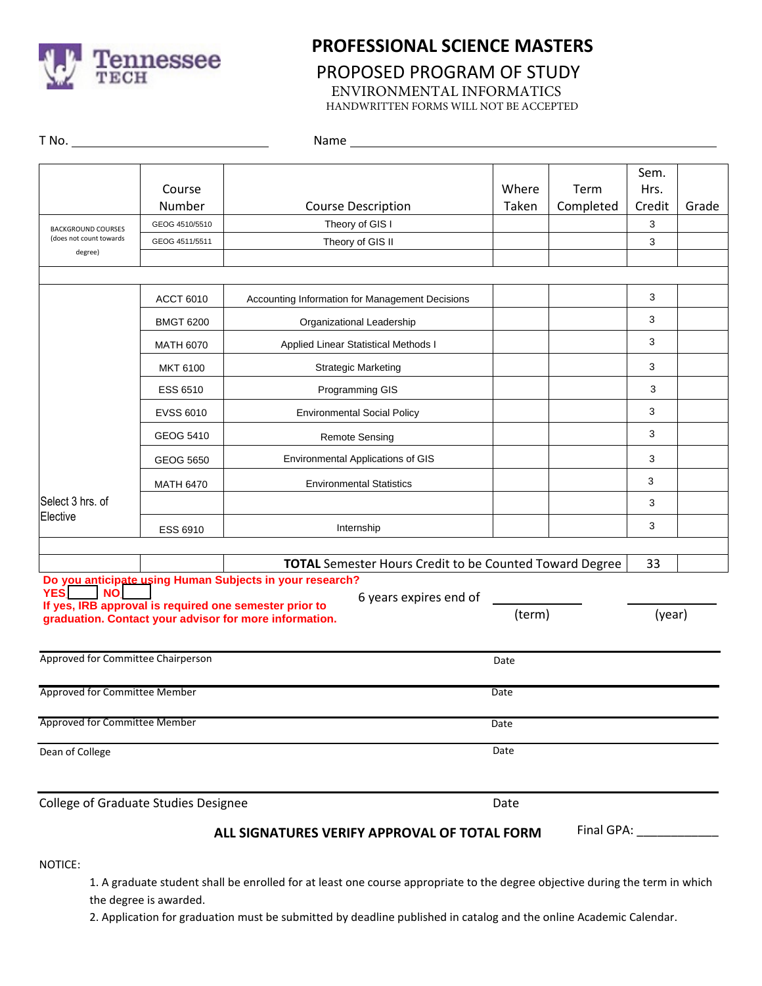

## **PROFESSIONAL SCIENCE MASTERS**

# PROPOSED PROGRAM OF STUDY

ENVIRONMENTAL INFORMATICS

HANDWRITTEN FORMS WILL NOT BE ACCEPTED

| T No. <u>____________________</u>                               |                  | Name and the state of the state of the state of the state of the state of the state of the state of the state of the state of the state of the state of the state of the state of the state of the state of the state of the s |                |                   |                        |       |  |
|-----------------------------------------------------------------|------------------|--------------------------------------------------------------------------------------------------------------------------------------------------------------------------------------------------------------------------------|----------------|-------------------|------------------------|-------|--|
|                                                                 | Course<br>Number | <b>Course Description</b>                                                                                                                                                                                                      | Where<br>Taken | Term<br>Completed | Sem.<br>Hrs.<br>Credit | Grade |  |
| <b>BACKGROUND COURSES</b><br>(does not count towards<br>degree) | GEOG 4510/5510   | Theory of GIS I                                                                                                                                                                                                                |                |                   | 3                      |       |  |
|                                                                 | GEOG 4511/5511   | Theory of GIS II                                                                                                                                                                                                               |                |                   | 3                      |       |  |
|                                                                 |                  |                                                                                                                                                                                                                                |                |                   |                        |       |  |
|                                                                 | <b>ACCT 6010</b> | Accounting Information for Management Decisions                                                                                                                                                                                |                |                   | 3                      |       |  |
|                                                                 | <b>BMGT 6200</b> | Organizational Leadership                                                                                                                                                                                                      |                |                   | 3                      |       |  |
|                                                                 | <b>MATH 6070</b> | Applied Linear Statistical Methods I                                                                                                                                                                                           |                |                   | 3                      |       |  |
|                                                                 | <b>MKT 6100</b>  | <b>Strategic Marketing</b>                                                                                                                                                                                                     |                |                   | 3                      |       |  |
|                                                                 | ESS 6510         | Programming GIS                                                                                                                                                                                                                |                |                   | 3                      |       |  |
|                                                                 | <b>EVSS 6010</b> | <b>Environmental Social Policy</b>                                                                                                                                                                                             |                |                   | 3                      |       |  |
|                                                                 | <b>GEOG 5410</b> | <b>Remote Sensing</b>                                                                                                                                                                                                          |                | 3                 |                        |       |  |
|                                                                 | GEOG 5650        | Environmental Applications of GIS                                                                                                                                                                                              |                |                   | 3                      |       |  |
|                                                                 | <b>MATH 6470</b> | <b>Environmental Statistics</b>                                                                                                                                                                                                |                |                   | 3                      |       |  |
| Select 3 hrs. of<br>Elective                                    |                  |                                                                                                                                                                                                                                |                |                   | 3                      |       |  |
|                                                                 | <b>ESS 6910</b>  | Internship                                                                                                                                                                                                                     |                |                   | 3                      |       |  |
|                                                                 |                  | <b>TOTAL</b> Semester Hours Credit to be Counted Toward Degree                                                                                                                                                                 |                |                   | 33                     |       |  |
|                                                                 |                  | Do you anticipate using Human Subjects in your research?                                                                                                                                                                       |                |                   |                        |       |  |
| <b>YES</b><br><b>NO</b>                                         |                  | 6 years expires end of<br>If yes, IRB approval is required one semester prior to                                                                                                                                               |                |                   |                        |       |  |
| graduation. Contact your advisor for more information.          |                  | (term)<br>(year)                                                                                                                                                                                                               |                |                   |                        |       |  |
| Approved for Committee Chairperson                              |                  |                                                                                                                                                                                                                                |                | Date              |                        |       |  |
| Approved for Committee Member                                   |                  | Date                                                                                                                                                                                                                           |                |                   |                        |       |  |
| Approved for Committee Member                                   |                  | Date                                                                                                                                                                                                                           |                |                   |                        |       |  |
| Dean of College                                                 |                  | Date                                                                                                                                                                                                                           |                |                   |                        |       |  |
|                                                                 |                  |                                                                                                                                                                                                                                |                |                   |                        |       |  |
| <b>College of Graduate Studies Designee</b>                     |                  |                                                                                                                                                                                                                                | Date           |                   |                        |       |  |
|                                                                 |                  | ALL SIGNATURES VERIFY APPROVAL OF TOTAL FORM                                                                                                                                                                                   |                | Final GPA:        |                        |       |  |

NOTICE:

1. A graduate student shall be enrolled for at least one course appropriate to the degree objective during the term in which the degree is awarded.

2. Application for graduation must be submitted by deadline published in catalog and the online Academic Calendar.